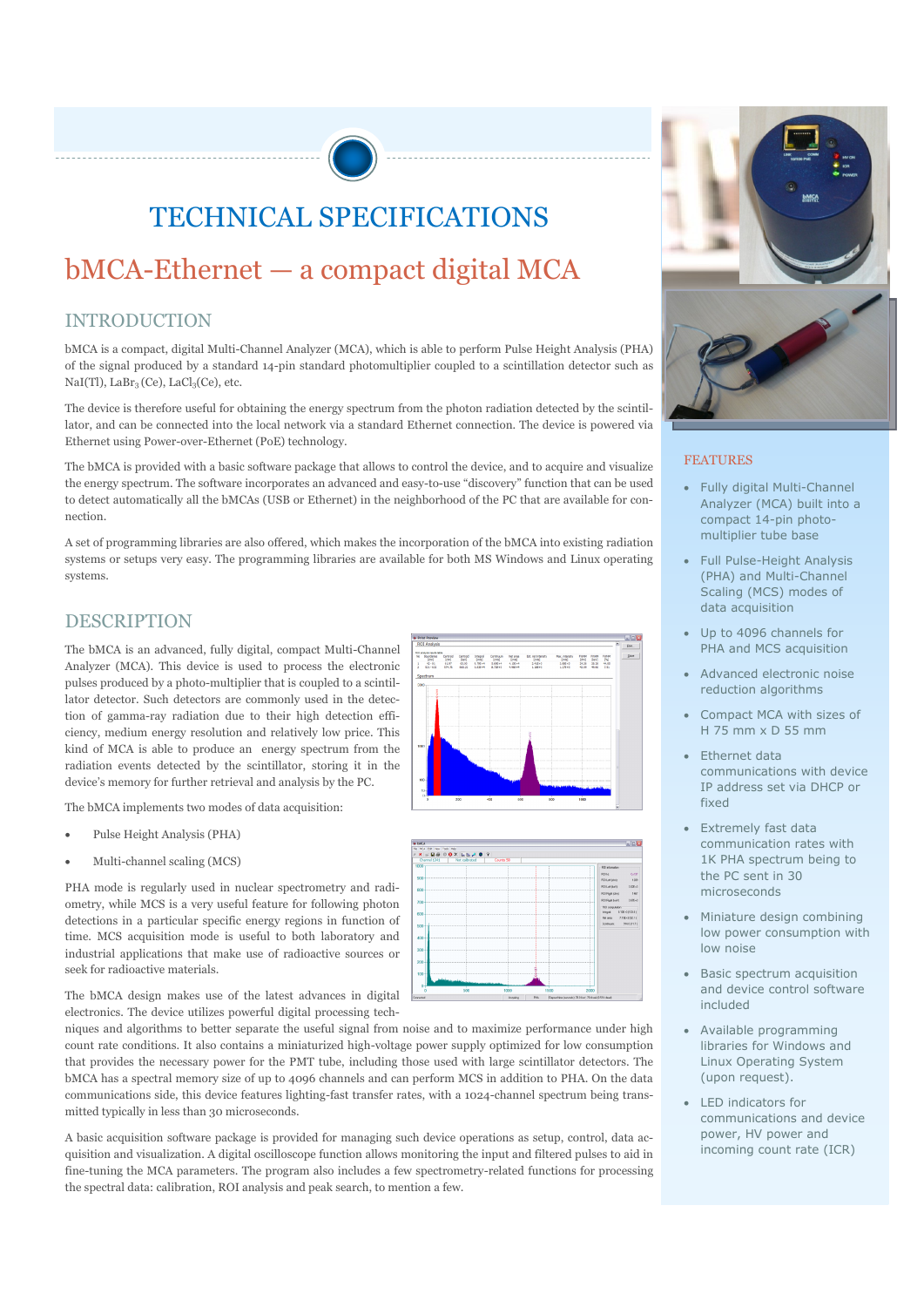# TECHNICAL SPECIFICATIONS

## bMCA-Ethernet — a compact digital MCA

#### INTRODUCTION

bMCA is a compact, digital Multi-Channel Analyzer (MCA), which is able to perform Pulse Height Analysis (PHA) of the signal produced by a standard 14-pin standard photomultiplier coupled to a scintillation detector such as NaI(Tl), LaBr<sub>3</sub> (Ce), LaCl<sub>3</sub>(Ce), etc.

The device is therefore useful for obtaining the energy spectrum from the photon radiation detected by the scintillator, and can be connected into the local network via a standard Ethernet connection. The device is powered via Ethernet using Power-over-Ethernet (PoE) technology.

The bMCA is provided with a basic software package that allows to control the device, and to acquire and visualize the energy spectrum. The software incorporates an advanced and easy-to-use "discovery" function that can be used to detect automatically all the bMCAs (USB or Ethernet) in the neighborhood of the PC that are available for connection.

A set of programming libraries are also offered, which makes the incorporation of the bMCA into existing radiation systems or setups very easy. The programming libraries are available for both MS Windows and Linux operating systems.

#### DESCRIPTION

The bMCA is an advanced, fully digital, compact Multi-Channel Analyzer (MCA). This device is used to process the electronic pulses produced by a photo-multiplier that is coupled to a scintillator detector. Such detectors are commonly used in the detection of gamma-ray radiation due to their high detection efficiency, medium energy resolution and relatively low price. This kind of MCA is able to produce an energy spectrum from the radiation events detected by the scintillator, storing it in the device's memory for further retrieval and analysis by the PC.

The bMCA implements two modes of data acquisition:

- Pulse Height Analysis (PHA)
- Multi-channel scaling (MCS)

PHA mode is regularly used in nuclear spectrometry and radiometry, while MCS is a very useful feature for following photon detections in a particular specific energy regions in function of time. MCS acquisition mode is useful to both laboratory and industrial applications that make use of radioactive sources or seek for radioactive materials.

The bMCA design makes use of the latest advances in digital electronics. The device utilizes powerful digital processing tech-

niques and algorithms to better separate the useful signal from noise and to maximize performance under high count rate conditions. It also contains a miniaturized high-voltage power supply optimized for low consumption that provides the necessary power for the PMT tube, including those used with large scintillator detectors. The bMCA has a spectral memory size of up to 4096 channels and can perform MCS in addition to PHA. On the data communications side, this device features lighting-fast transfer rates, with a 1024-channel spectrum being transmitted typically in less than 30 microseconds.

A basic acquisition software package is provided for managing such device operations as setup, control, data acquisition and visualization. A digital oscilloscope function allows monitoring the input and filtered pulses to aid in fine-tuning the MCA parameters. The program also includes a few spectrometry-related functions for processing the spectral data: calibration, ROI analysis and peak search, to mention a few.







#### FEATURES

- Fully digital Multi-Channel Analyzer (MCA) built into a compact 14-pin photomultiplier tube base
- Full Pulse-Height Analysis (PHA) and Multi-Channel Scaling (MCS) modes of data acquisition
- Up to 4096 channels for PHA and MCS acquisition
- Advanced electronic noise reduction algorithms
- Compact MCA with sizes of H 75 mm x D 55 mm
- Ethernet data communications with device IP address set via DHCP or fixed
- Extremely fast data communication rates with 1K PHA spectrum being to the PC sent in 30 microseconds
- Miniature design combining low power consumption with low noise
- Basic spectrum acquisition and device control software included
- Available programming libraries for Windows and Linux Operating System (upon request).
- LED indicators for communications and device power, HV power and incoming count rate (ICR)